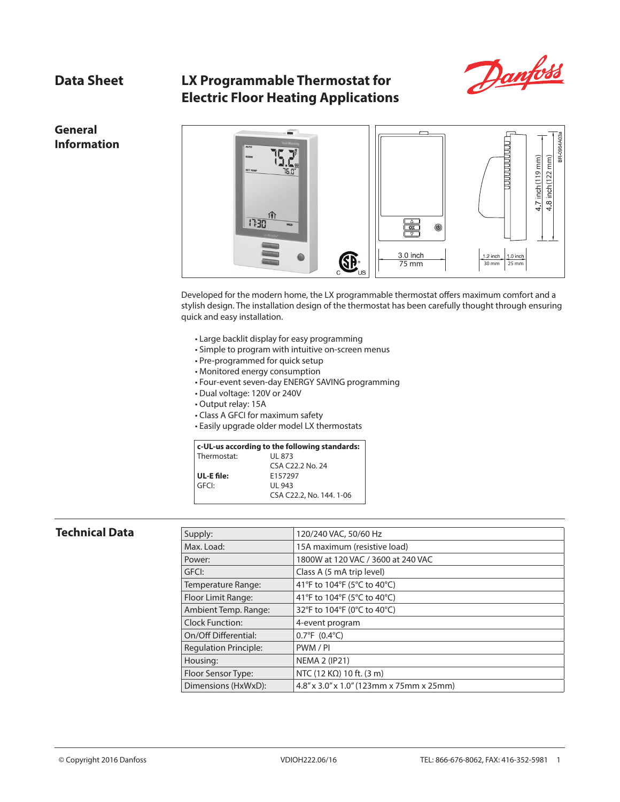# **Data Sheet LX Programmable Thermostat for Electric Floor Heating Applications**



**General Information**



Developed for the modern home, the LX programmable thermostat offers maximum comfort and a stylish design. The installation design of the thermostat has been carefully thought through ensuring quick and easy installation.

- Large backlit display for easy programming
- Simple to program with intuitive on-screen menus
- Pre-programmed for quick setup
- Monitored energy consumption
- Four-event seven-day ENERGY SAVING programming
- Dual voltage: 120V or 240V
- Output relay: 15A
- Class A GFCI for maximum safety
- Easily upgrade older model LX thermostats

## **c-UL-us according to the following standards:**

| Thermostat: | UL 873                   |
|-------------|--------------------------|
|             | CSA C22.2 No. 24         |
| UL-E file:  | E157297                  |
| GFCI:       | UI 943                   |
|             | CSA C22.2, No. 144. 1-06 |

### **Technical Data**

| Supply:                      | 120/240 VAC, 50/60 Hz                                   |
|------------------------------|---------------------------------------------------------|
| Max. Load:                   | 15A maximum (resistive load)                            |
| Power:                       | 1800W at 120 VAC / 3600 at 240 VAC                      |
| GFCI:                        | Class A (5 mA trip level)                               |
| Temperature Range:           | 41°F to 104°F (5°C to 40°C)                             |
| Floor Limit Range:           | 41°F to 104°F (5°C to 40°C)                             |
| Ambient Temp. Range:         | 32°F to 104°F (0°C to 40°C)                             |
| Clock Function:              | 4-event program                                         |
| On/Off Differential:         | $0.7^{\circ}F(0.4^{\circ}C)$                            |
| <b>Requlation Principle:</b> | PWM/PI                                                  |
| Housing:                     | <b>NEMA 2 (IP21)</b>                                    |
| Floor Sensor Type:           | NTC (12 K $\Omega$ ) 10 ft. (3 m)                       |
| Dimensions (HxWxD):          | $4.8'' \times 3.0'' \times 1.0''$ (123mm x 75mm x 25mm) |